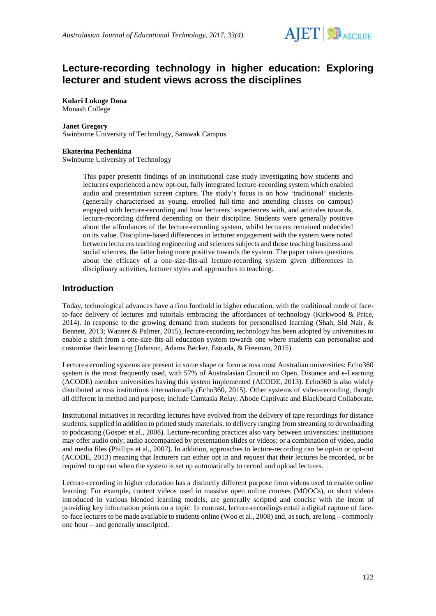

# **Lecture-recording technology in higher education: Exploring lecturer and student views across the disciplines**

**Kulari Lokuge Dona** Monash College

### **Janet Gregory**

Swinburne University of Technology, Sarawak Campus

#### **Ekaterina Pechenkina**

Swinburne University of Technology

This paper presents findings of an institutional case study investigating how students and lecturers experienced a new opt-out, fully integrated lecture-recording system which enabled audio and presentation screen capture. The study's focus is on how 'traditional' students (generally characterised as young, enrolled full-time and attending classes on campus) engaged with lecture-recording and how lecturers' experiences with, and attitudes towards, lecture-recording differed depending on their discipline. Students were generally positive about the affordances of the lecture-recording system, whilst lecturers remained undecided on its value. Discipline-based differences in lecturer engagement with the system were noted between lecturers teaching engineering and sciences subjects and those teaching business and social sciences, the latter being more positive towards the system. The paper raises questions about the efficacy of a one-size-fits-all lecture-recording system given differences in disciplinary activities, lecturer styles and approaches to teaching.

### **Introduction**

Today, technological advances have a firm foothold in higher education, with the traditional mode of faceto-face delivery of lectures and tutorials embracing the affordances of technology (Kirkwood & Price, 2014). In response to the growing demand from students for personalised learning (Shah, Sid Nair, & Bennett, 2013; Wanner & Palmer, 2015), lecture-recording technology has been adopted by universities to enable a shift from a one-size-fits-all education system towards one where students can personalise and customise their learning (Johnson, Adams Becker, Estrada, & Freeman, 2015).

Lecture-recording systems are present in some shape or form across most Australian universities: Echo360 system is the most frequently used, with 57% of Australasian Council on Open, Distance and e-Learning (ACODE) member universities having this system implemented (ACODE, 2013). Echo360 is also widely distributed across institutions internationally (Echo360, 2015). Other systems of video-recording, though all different in method and purpose, include Camtasia Relay, Abode Captivate and Blackboard Collaborate.

Institutional initiatives in recording lectures have evolved from the delivery of tape recordings for distance students, supplied in addition to printed study materials, to delivery ranging from streaming to downloading to podcasting (Gosper et al., 2008). Lecture-recording practices also vary between universities: institutions may offer audio only; audio accompanied by presentation slides or videos; or a combination of video, audio and media files (Phillips et al., 2007). In addition, approaches to lecture-recording can be opt-in or opt-out (ACODE, 2013) meaning that lecturers can either opt in and request that their lectures be recorded, or be required to opt out when the system is set up automatically to record and upload lectures.

Lecture-recording in higher education has a distinctly different purpose from videos used to enable online learning. For example, content videos used in massive open online courses (MOOCs), or short videos introduced in various blended learning models, are generally scripted and concise with the intent of providing key information points on a topic. In contrast, lecture-recordings entail a digital capture of faceto-face lectures to be made available to students online (Woo et al., 2008) and, as such, are long – commonly one hour – and generally unscripted.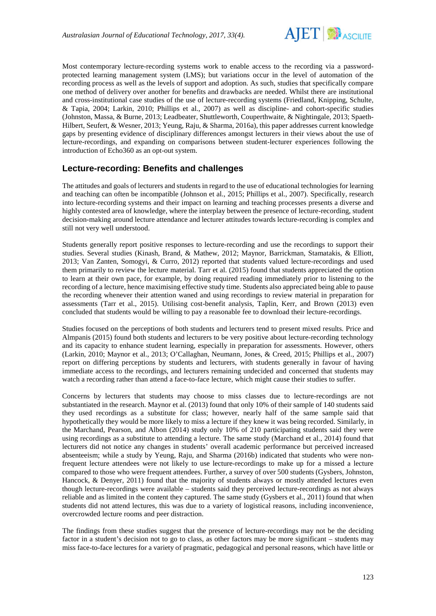

Most contemporary lecture-recording systems work to enable access to the recording via a passwordprotected learning management system (LMS); but variations occur in the level of automation of the recording process as well as the levels of support and adoption. As such, studies that specifically compare one method of delivery over another for benefits and drawbacks are needed. Whilst there are institutional and cross-institutional case studies of the use of lecture-recording systems (Friedland, Knipping, Schulte, & Tapia, 2004; Larkin, 2010; Phillips et al., 2007) as well as discipline- and cohort-specific studies (Johnston, Massa, & Burne, 2013; Leadbeater, Shuttleworth, Couperthwaite, & Nightingale, 2013; Spaeth-Hilbert, Seufert, & Wesner, 2013; Yeung, Raju, & Sharma, 2016a), this paper addresses current knowledge gaps by presenting evidence of disciplinary differences amongst lecturers in their views about the use of lecture-recordings, and expanding on comparisons between student-lecturer experiences following the introduction of Echo360 as an opt-out system.

## **Lecture-recording: Benefits and challenges**

The attitudes and goals of lecturers and students in regard to the use of educational technologies for learning and teaching can often be incompatible (Johnson et al., 2015; Phillips et al., 2007). Specifically, research into lecture-recording systems and their impact on learning and teaching processes presents a diverse and highly contested area of knowledge, where the interplay between the presence of lecture-recording, student decision-making around lecture attendance and lecturer attitudes towards lecture-recording is complex and still not very well understood.

Students generally report positive responses to lecture-recording and use the recordings to support their studies. Several studies (Kinash, Brand, & Mathew, 2012; Maynor, Barrickman, Stamatakis, & Elliott, 2013; Van Zanten, Somogyi, & Curro, 2012) reported that students valued lecture-recordings and used them primarily to review the lecture material. Tarr et al. (2015) found that students appreciated the option to learn at their own pace, for example, by doing required reading immediately prior to listening to the recording of a lecture, hence maximising effective study time. Students also appreciated being able to pause the recording whenever their attention waned and using recordings to review material in preparation for assessments (Tarr et al., 2015). Utilising cost-benefit analysis, Taplin, Kerr, and Brown (2013) even concluded that students would be willing to pay a reasonable fee to download their lecture-recordings.

Studies focused on the perceptions of both students and lecturers tend to present mixed results. Price and Almpanis (2015) found both students and lecturers to be very positive about lecture-recording technology and its capacity to enhance student learning, especially in preparation for assessments. However, others (Larkin, 2010; Maynor et al., 2013; O'Callaghan, Neumann, Jones, & Creed, 2015; Phillips et al., 2007) report on differing perceptions by students and lecturers, with students generally in favour of having immediate access to the recordings, and lecturers remaining undecided and concerned that students may watch a recording rather than attend a face-to-face lecture, which might cause their studies to suffer.

Concerns by lecturers that students may choose to miss classes due to lecture-recordings are not substantiated in the research. Maynor et al. (2013) found that only 10% of their sample of 140 students said they used recordings as a substitute for class; however, nearly half of the same sample said that hypothetically they would be more likely to miss a lecture if they knew it was being recorded. Similarly, in the Marchand, Pearson, and Albon (2014) study only 10% of 210 participating students said they were using recordings as a substitute to attending a lecture. The same study (Marchand et al., 2014) found that lecturers did not notice any changes in students' overall academic performance but perceived increased absenteeism; while a study by Yeung, Raju, and Sharma (2016b) indicated that students who were nonfrequent lecture attendees were not likely to use lecture-recordings to make up for a missed a lecture compared to those who were frequent attendees. Further, a survey of over 500 students (Gysbers, Johnston, Hancock, & Denyer, 2011) found that the majority of students always or mostly attended lectures even though lecture-recordings were available – students said they perceived lecture-recordings as not always reliable and as limited in the content they captured. The same study (Gysbers et al., 2011) found that when students did not attend lectures, this was due to a variety of logistical reasons, including inconvenience, overcrowded lecture rooms and peer distraction.

The findings from these studies suggest that the presence of lecture-recordings may not be the deciding factor in a student's decision not to go to class, as other factors may be more significant – students may miss face-to-face lectures for a variety of pragmatic, pedagogical and personal reasons, which have little or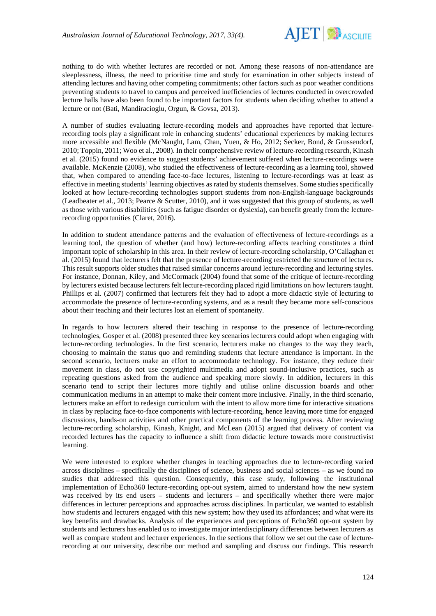

nothing to do with whether lectures are recorded or not. Among these reasons of non-attendance are sleeplessness, illness, the need to prioritise time and study for examination in other subjects instead of attending lectures and having other competing commitments; other factors such as poor weather conditions preventing students to travel to campus and perceived inefficiencies of lectures conducted in overcrowded lecture halls have also been found to be important factors for students when deciding whether to attend a lecture or not (Bati, Mandiracioglu, Orgun, & Govsa, 2013).

A number of studies evaluating lecture-recording models and approaches have reported that lecturerecording tools play a significant role in enhancing students' educational experiences by making lectures more accessible and flexible (McNaught, Lam, Chan, Yuen, & Ho, 2012; Secker, Bond, & Grussendorf, 2010; Toppin, 2011; Woo et al., 2008). In their comprehensive review of lecture-recording research, Kinash et al. (2015) found no evidence to suggest students' achievement suffered when lecture-recordings were available. McKenzie (2008), who studied the effectiveness of lecture-recording as a learning tool, showed that, when compared to attending face-to-face lectures, listening to lecture-recordings was at least as effective in meeting students' learning objectives as rated by students themselves. Some studies specifically looked at how lecture-recording technologies support students from non-English-language backgrounds (Leadbeater et al., 2013; Pearce & Scutter, 2010), and it was suggested that this group of students, as well as those with various disabilities (such as fatigue disorder or dyslexia), can benefit greatly from the lecturerecording opportunities (Claret, 2016).

In addition to student attendance patterns and the evaluation of effectiveness of lecture-recordings as a learning tool, the question of whether (and how) lecture-recording affects teaching constitutes a third important topic of scholarship in this area. In their review of lecture-recording scholarship, O'Callaghan et al. (2015) found that lecturers felt that the presence of lecture-recording restricted the structure of lectures. This result supports older studies that raised similar concerns around lecture-recording and lecturing styles. For instance, Donnan, Kiley, and McCormack (2004) found that some of the critique of lecture-recording by lecturers existed because lecturers felt lecture-recording placed rigid limitations on how lecturers taught. Phillips et al. (2007) confirmed that lecturers felt they had to adopt a more didactic style of lecturing to accommodate the presence of lecture-recording systems, and as a result they became more self-conscious about their teaching and their lectures lost an element of spontaneity.

In regards to how lecturers altered their teaching in response to the presence of lecture-recording technologies, Gosper et al. (2008) presented three key scenarios lecturers could adopt when engaging with lecture-recording technologies. In the first scenario, lecturers make no changes to the way they teach, choosing to maintain the status quo and reminding students that lecture attendance is important. In the second scenario, lecturers make an effort to accommodate technology. For instance, they reduce their movement in class, do not use copyrighted multimedia and adopt sound-inclusive practices, such as repeating questions asked from the audience and speaking more slowly. In addition, lecturers in this scenario tend to script their lectures more tightly and utilise online discussion boards and other communication mediums in an attempt to make their content more inclusive. Finally, in the third scenario, lecturers make an effort to redesign curriculum with the intent to allow more time for interactive situations in class by replacing face-to-face components with lecture-recording, hence leaving more time for engaged discussions, hands-on activities and other practical components of the learning process. After reviewing lecture-recording scholarship, Kinash, Knight, and McLean (2015) argued that delivery of content via recorded lectures has the capacity to influence a shift from didactic lecture towards more constructivist learning.

We were interested to explore whether changes in teaching approaches due to lecture-recording varied across disciplines – specifically the disciplines of science, business and social sciences – as we found no studies that addressed this question. Consequently, this case study, following the institutional implementation of Echo360 lecture-recording opt-out system, aimed to understand how the new system was received by its end users – students and lecturers – and specifically whether there were major differences in lecturer perceptions and approaches across disciplines. In particular, we wanted to establish how students and lecturers engaged with this new system; how they used its affordances; and what were its key benefits and drawbacks. Analysis of the experiences and perceptions of Echo360 opt-out system by students and lecturers has enabled us to investigate major interdisciplinary differences between lecturers as well as compare student and lecturer experiences. In the sections that follow we set out the case of lecturerecording at our university, describe our method and sampling and discuss our findings. This research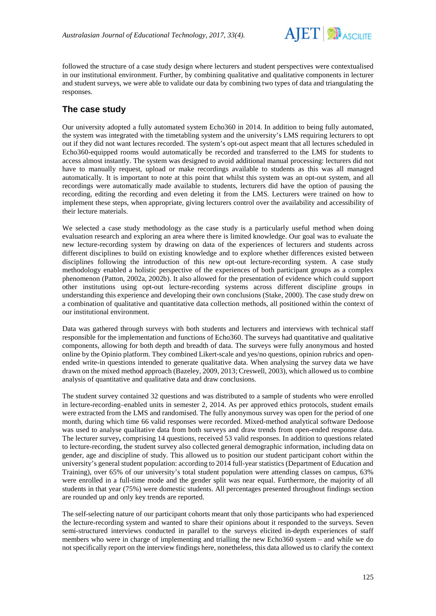

followed the structure of a case study design where lecturers and student perspectives were contextualised in our institutional environment. Further, by combining qualitative and qualitative components in lecturer and student surveys, we were able to validate our data by combining two types of data and triangulating the responses.

## **The case study**

Our university adopted a fully automated system Echo360 in 2014. In addition to being fully automated, the system was integrated with the timetabling system and the university's LMS requiring lecturers to opt out if they did not want lectures recorded. The system's opt-out aspect meant that all lectures scheduled in Echo360-equipped rooms would automatically be recorded and transferred to the LMS for students to access almost instantly. The system was designed to avoid additional manual processing: lecturers did not have to manually request, upload or make recordings available to students as this was all managed automatically. It is important to note at this point that whilst this system was an opt-out system, and all recordings were automatically made available to students, lecturers did have the option of pausing the recording, editing the recording and even deleting it from the LMS. Lecturers were trained on how to implement these steps, when appropriate, giving lecturers control over the availability and accessibility of their lecture materials.

We selected a case study methodology as the case study is a particularly useful method when doing evaluation research and exploring an area where there is limited knowledge. Our goal was to evaluate the new lecture-recording system by drawing on data of the experiences of lecturers and students across different disciplines to build on existing knowledge and to explore whether differences existed between disciplines following the introduction of this new opt-out lecture-recording system. A case study methodology enabled a holistic perspective of the experiences of both participant groups as a complex phenomenon (Patton, 2002a, 2002b). It also allowed for the presentation of evidence which could support other institutions using opt-out lecture-recording systems across different discipline groups in understanding this experience and developing their own conclusions (Stake, 2000). The case study drew on a combination of qualitative and quantitative data collection methods, all positioned within the context of our institutional environment.

Data was gathered through surveys with both students and lecturers and interviews with technical staff responsible for the implementation and functions of Echo360. The surveys had quantitative and qualitative components, allowing for both depth and breadth of data. The surveys were fully anonymous and hosted online by the Opinio platform. They combined Likert-scale and yes/no questions, opinion rubrics and openended write-in questions intended to generate qualitative data. When analysing the survey data we have drawn on the mixed method approach (Bazeley, 2009, 2013; Creswell, 2003), which allowed us to combine analysis of quantitative and qualitative data and draw conclusions.

The student survey contained 32 questions and was distributed to a sample of students who were enrolled in lecture-recording–enabled units in semester 2, 2014. As per approved ethics protocols, student emails were extracted from the LMS and randomised. The fully anonymous survey was open for the period of one month, during which time 66 valid responses were recorded. Mixed-method analytical software Dedoose was used to analyse qualitative data from both surveys and draw trends from open-ended response data. The lecturer survey**,** comprising 14 questions, received 53 valid responses. In addition to questions related to lecture-recording, the student survey also collected general demographic information, including data on gender, age and discipline of study. This allowed us to position our student participant cohort within the university's general student population: according to 2014 full-year statistics (Department of Education and Training), over 65% of our university's total student population were attending classes on campus, 63% were enrolled in a full-time mode and the gender split was near equal. Furthermore, the majority of all students in that year (75%) were domestic students. All percentages presented throughout findings section are rounded up and only key trends are reported.

The self-selecting nature of our participant cohorts meant that only those participants who had experienced the lecture-recording system and wanted to share their opinions about it responded to the surveys. Seven semi-structured interviews conducted in parallel to the surveys elicited in-depth experiences of staff members who were in charge of implementing and trialling the new Echo360 system – and while we do not specifically report on the interview findings here, nonetheless, this data allowed us to clarify the context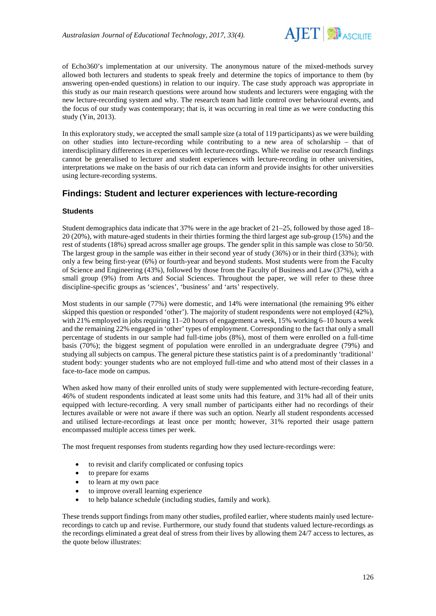

of Echo360's implementation at our university. The anonymous nature of the mixed-methods survey allowed both lecturers and students to speak freely and determine the topics of importance to them (by answering open-ended questions) in relation to our inquiry. The case study approach was appropriate in this study as our main research questions were around how students and lecturers were engaging with the new lecture-recording system and why. The research team had little control over behavioural events, and the focus of our study was contemporary; that is, it was occurring in real time as we were conducting this study (Yin, 2013).

In this exploratory study, we accepted the small sample size (a total of 119 participants) as we were building on other studies into lecture-recording while contributing to a new area of scholarship – that of interdisciplinary differences in experiences with lecture-recordings. While we realise our research findings cannot be generalised to lecturer and student experiences with lecture-recording in other universities, interpretations we make on the basis of our rich data can inform and provide insights for other universities using lecture-recording systems.

## **Findings: Student and lecturer experiences with lecture-recording**

### **Students**

Student demographics data indicate that 37% were in the age bracket of 21–25, followed by those aged 18– 20 (20%), with mature-aged students in their thirties forming the third largest age sub-group (15%) and the rest of students (18%) spread across smaller age groups. The gender split in this sample was close to 50/50. The largest group in the sample was either in their second year of study (36%) or in their third (33%); with only a few being first-year (6%) or fourth-year and beyond students. Most students were from the Faculty of Science and Engineering (43%), followed by those from the Faculty of Business and Law (37%), with a small group (9%) from Arts and Social Sciences. Throughout the paper, we will refer to these three discipline-specific groups as 'sciences', 'business' and 'arts' respectively.

Most students in our sample (77%) were domestic, and 14% were international (the remaining 9% either skipped this question or responded 'other'). The majority of student respondents were not employed (42%), with 21% employed in jobs requiring 11–20 hours of engagement a week, 15% working 6–10 hours a week and the remaining 22% engaged in 'other' types of employment. Corresponding to the fact that only a small percentage of students in our sample had full-time jobs (8%), most of them were enrolled on a full-time basis (70%); the biggest segment of population were enrolled in an undergraduate degree (79%) and studying all subjects on campus. The general picture these statistics paint is of a predominantly 'traditional' student body: younger students who are not employed full-time and who attend most of their classes in a face-to-face mode on campus.

When asked how many of their enrolled units of study were supplemented with lecture-recording feature, 46% of student respondents indicated at least some units had this feature, and 31% had all of their units equipped with lecture-recording. A very small number of participants either had no recordings of their lectures available or were not aware if there was such an option. Nearly all student respondents accessed and utilised lecture-recordings at least once per month; however, 31% reported their usage pattern encompassed multiple access times per week.

The most frequent responses from students regarding how they used lecture-recordings were:

- to revisit and clarify complicated or confusing topics
- to prepare for exams
- to learn at my own pace
- to improve overall learning experience
- to help balance schedule (including studies, family and work).

These trends support findings from many other studies, profiled earlier, where students mainly used lecturerecordings to catch up and revise. Furthermore, our study found that students valued lecture-recordings as the recordings eliminated a great deal of stress from their lives by allowing them 24/7 access to lectures, as the quote below illustrates: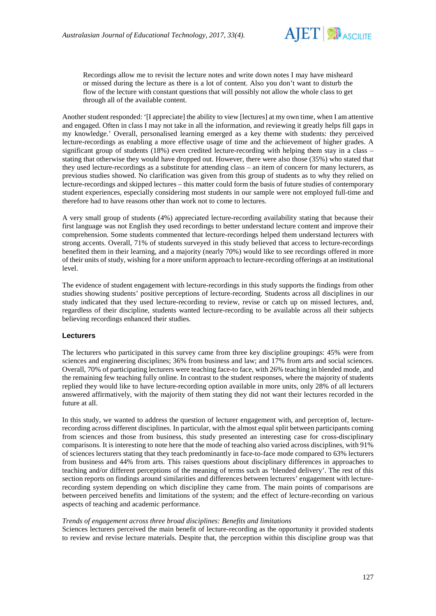

Recordings allow me to revisit the lecture notes and write down notes I may have misheard or missed during the lecture as there is a lot of content. Also you don't want to disturb the flow of the lecture with constant questions that will possibly not allow the whole class to get through all of the available content.

Another student responded: '[I appreciate] the ability to view [lectures] at my own time, when I am attentive and engaged. Often in class I may not take in all the information, and reviewing it greatly helps fill gaps in my knowledge.' Overall, personalised learning emerged as a key theme with students: they perceived lecture-recordings as enabling a more effective usage of time and the achievement of higher grades. A significant group of students (18%) even credited lecture-recording with helping them stay in a class – stating that otherwise they would have dropped out. However, there were also those (35%) who stated that they used lecture-recordings as a substitute for attending class – an item of concern for many lecturers, as previous studies showed. No clarification was given from this group of students as to why they relied on lecture-recordings and skipped lectures – this matter could form the basis of future studies of contemporary student experiences, especially considering most students in our sample were not employed full-time and therefore had to have reasons other than work not to come to lectures.

A very small group of students (4%) appreciated lecture-recording availability stating that because their first language was not English they used recordings to better understand lecture content and improve their comprehension. Some students commented that lecture-recordings helped them understand lecturers with strong accents. Overall, 71% of students surveyed in this study believed that access to lecture-recordings benefited them in their learning, and a majority (nearly 70%) would like to see recordings offered in more of their units of study, wishing for a more uniform approach to lecture-recording offerings at an institutional level.

The evidence of student engagement with lecture-recordings in this study supports the findings from other studies showing students' positive perceptions of lecture-recording. Students across all disciplines in our study indicated that they used lecture-recording to review, revise or catch up on missed lectures, and, regardless of their discipline, students wanted lecture-recording to be available across all their subjects believing recordings enhanced their studies.

### **Lecturers**

The lecturers who participated in this survey came from three key discipline groupings: 45% were from sciences and engineering disciplines; 36% from business and law; and 17% from arts and social sciences. Overall, 70% of participating lecturers were teaching face-to face, with 26% teaching in blended mode, and the remaining few teaching fully online. In contrast to the student responses, where the majority of students replied they would like to have lecture-recording option available in more units, only 28% of all lecturers answered affirmatively, with the majority of them stating they did not want their lectures recorded in the future at all.

In this study, we wanted to address the question of lecturer engagement with, and perception of, lecturerecording across different disciplines. In particular, with the almost equal split between participants coming from sciences and those from business, this study presented an interesting case for cross-disciplinary comparisons. It is interesting to note here that the mode of teaching also varied across disciplines, with 91% of sciences lecturers stating that they teach predominantly in face-to-face mode compared to 63% lecturers from business and 44% from arts. This raises questions about disciplinary differences in approaches to teaching and/or different perceptions of the meaning of terms such as 'blended delivery'. The rest of this section reports on findings around similarities and differences between lecturers' engagement with lecturerecording system depending on which discipline they came from. The main points of comparisons are between perceived benefits and limitations of the system; and the effect of lecture-recording on various aspects of teaching and academic performance.

### *Trends of engagement across three broad disciplines: Benefits and limitations*

Sciences lecturers perceived the main benefit of lecture-recording as the opportunity it provided students to review and revise lecture materials. Despite that, the perception within this discipline group was that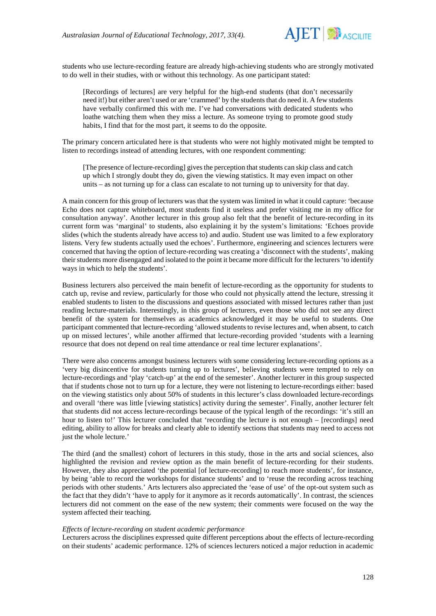

students who use lecture-recording feature are already high-achieving students who are strongly motivated to do well in their studies, with or without this technology. As one participant stated:

[Recordings of lectures] are very helpful for the high-end students (that don't necessarily need it!) but either aren't used or are 'crammed' by the students that do need it. A few students have verbally confirmed this with me. I've had conversations with dedicated students who loathe watching them when they miss a lecture. As someone trying to promote good study habits, I find that for the most part, it seems to do the opposite.

The primary concern articulated here is that students who were not highly motivated might be tempted to listen to recordings instead of attending lectures, with one respondent commenting:

[The presence of lecture-recording] gives the perception that students can skip class and catch up which I strongly doubt they do, given the viewing statistics. It may even impact on other units – as not turning up for a class can escalate to not turning up to university for that day.

A main concern for this group of lecturers was that the system was limited in what it could capture: 'because Echo does not capture whiteboard, most students find it useless and prefer visiting me in my office for consultation anyway'. Another lecturer in this group also felt that the benefit of lecture-recording in its current form was 'marginal' to students, also explaining it by the system's limitations: 'Echoes provide slides (which the students already have access to) and audio. Student use was limited to a few exploratory listens. Very few students actually used the echoes'. Furthermore, engineering and sciences lecturers were concerned that having the option of lecture-recording was creating a 'disconnect with the students', making their students more disengaged and isolated to the point it became more difficult for the lecturers'to identify ways in which to help the students'.

Business lecturers also perceived the main benefit of lecture-recording as the opportunity for students to catch up, revise and review, particularly for those who could not physically attend the lecture, stressing it enabled students to listen to the discussions and questions associated with missed lectures rather than just reading lecture-materials. Interestingly, in this group of lecturers, even those who did not see any direct benefit of the system for themselves as academics acknowledged it may be useful to students. One participant commented that lecture-recording 'allowed students to revise lectures and, when absent, to catch up on missed lectures', while another affirmed that lecture-recording provided 'students with a learning resource that does not depend on real time attendance or real time lecturer explanations'.

There were also concerns amongst business lecturers with some considering lecture-recording options as a 'very big disincentive for students turning up to lectures', believing students were tempted to rely on lecture-recordings and 'play 'catch-up' at the end of the semester'. Another lecturer in this group suspected that if students chose not to turn up for a lecture, they were not listening to lecture-recordings either: based on the viewing statistics only about 50% of students in this lecturer's class downloaded lecture-recordings and overall 'there was little [viewing statistics] activity during the semester'. Finally, another lecturer felt that students did not access lecture-recordings because of the typical length of the recordings: 'it's still an hour to listen to!' This lecturer concluded that 'recording the lecture is not enough – [recordings] need editing, ability to allow for breaks and clearly able to identify sections that students may need to access not just the whole lecture.'

The third (and the smallest) cohort of lecturers in this study, those in the arts and social sciences, also highlighted the revision and review option as the main benefit of lecture-recording for their students. However, they also appreciated 'the potential [of lecture-recording] to reach more students', for instance, by being 'able to record the workshops for distance students' and to 'reuse the recording across teaching periods with other students.' Arts lecturers also appreciated the 'ease of use' of the opt-out system such as the fact that they didn't 'have to apply for it anymore as it records automatically'. In contrast, the sciences lecturers did not comment on the ease of the new system; their comments were focused on the way the system affected their teaching.

#### *Effects of lecture-recording on student academic performance*

Lecturers across the disciplines expressed quite different perceptions about the effects of lecture-recording on their students' academic performance. 12% of sciences lecturers noticed a major reduction in academic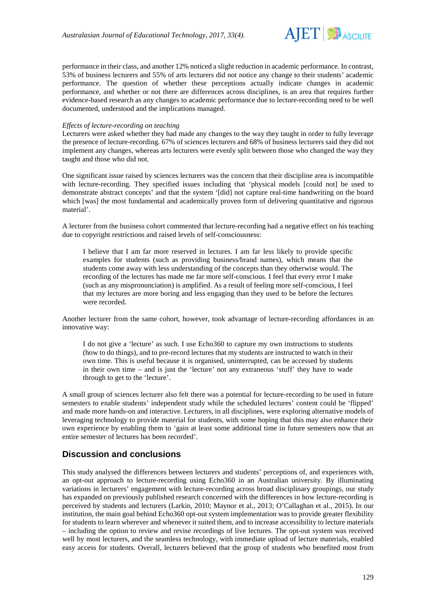

performance in their class, and another 12% noticed a slight reduction in academic performance. In contrast, 53% of business lecturers and 55% of arts lecturers did not notice any change to their students' academic performance. The question of whether these perceptions actually indicate changes in academic performance, and whether or not there are differences across disciplines, is an area that requires further evidence-based research as any changes to academic performance due to lecture-recording need to be well documented, understood and the implications managed.

### *Effects of lecture-recording on teaching*

Lecturers were asked whether they had made any changes to the way they taught in order to fully leverage the presence of lecture-recording. 67% of sciences lecturers and 68% of business lecturers said they did not implement any changes, whereas arts lecturers were evenly split between those who changed the way they taught and those who did not.

One significant issue raised by sciences lecturers was the concern that their discipline area is incompatible with lecture-recording. They specified issues including that 'physical models [could not] be used to demonstrate abstract concepts' and that the system '[did] not capture real-time handwriting on the board which [was] the most fundamental and academically proven form of delivering quantitative and rigorous material'.

A lecturer from the business cohort commented that lecture-recording had a negative effect on his teaching due to copyright restrictions and raised levels of self-consciousness:

I believe that I am far more reserved in lectures. I am far less likely to provide specific examples for students (such as providing business/brand names), which means that the students come away with less understanding of the concepts than they otherwise would. The recording of the lectures has made me far more self-conscious. I feel that every error I make (such as any mispronunciation) is amplified. As a result of feeling more self-conscious, I feel that my lectures are more boring and less engaging than they used to be before the lectures were recorded.

Another lecturer from the same cohort, however, took advantage of lecture-recording affordances in an innovative way:

I do not give a 'lecture' as such. I use Echo360 to capture my own instructions to students (how to do things), and to pre-record lectures that my students are instructed to watch in their own time. This is useful because it is organised, uninterrupted, can be accessed by students in their own time – and is just the 'lecture' not any extraneous 'stuff' they have to wade through to get to the 'lecture'.

A small group of sciences lecturer also felt there was a potential for lecture-recording to be used in future semesters to enable students' independent study while the scheduled lectures' content could be 'flipped' and made more hands-on and interactive. Lecturers, in all disciplines, were exploring alternative models of leveraging technology to provide material for students, with some hoping that this may also enhance their own experience by enabling them to 'gain at least some additional time in future semesters now that an entire semester of lectures has been recorded'.

## **Discussion and conclusions**

This study analysed the differences between lecturers and students' perceptions of, and experiences with, an opt-out approach to lecture-recording using Echo360 in an Australian university. By illuminating variations in lecturers' engagement with lecture-recording across broad disciplinary groupings, our study has expanded on previously published research concerned with the differences in how lecture-recording is perceived by students and lecturers (Larkin, 2010; Maynor et al., 2013; O'Callaghan et al., 2015). In our institution, the main goal behind Echo360 opt-out system implementation was to provide greater flexibility for students to learn wherever and whenever it suited them, and to increase accessibility to lecture materials – including the option to review and revise recordings of live lectures. The opt-out system was received well by most lecturers, and the seamless technology, with immediate upload of lecture materials, enabled easy access for students. Overall, lecturers believed that the group of students who benefited most from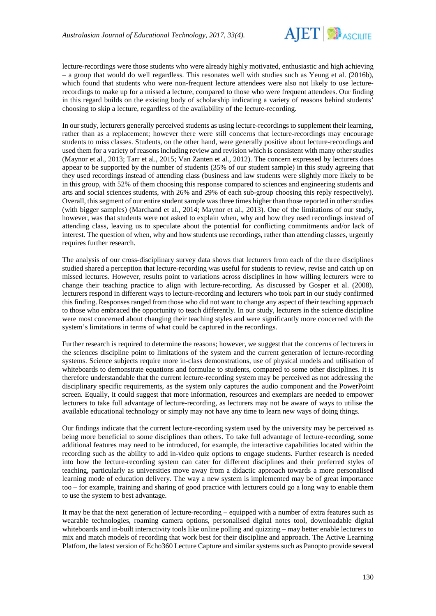

lecture-recordings were those students who were already highly motivated, enthusiastic and high achieving – a group that would do well regardless. This resonates well with studies such as Yeung et al. (2016b), which found that students who were non-frequent lecture attendees were also not likely to use lecturerecordings to make up for a missed a lecture, compared to those who were frequent attendees. Our finding in this regard builds on the existing body of scholarship indicating a variety of reasons behind students' choosing to skip a lecture, regardless of the availability of the lecture-recording.

In our study, lecturers generally perceived students as using lecture-recordings to supplement their learning, rather than as a replacement; however there were still concerns that lecture-recordings may encourage students to miss classes. Students, on the other hand, were generally positive about lecture-recordings and used them for a variety of reasons including review and revision which is consistent with many other studies (Maynor et al., 2013; Tarr et al., 2015; Van Zanten et al., 2012). The concern expressed by lecturers does appear to be supported by the number of students (35% of our student sample) in this study agreeing that they used recordings instead of attending class (business and law students were slightly more likely to be in this group, with 52% of them choosing this response compared to sciences and engineering students and arts and social sciences students, with 26% and 29% of each sub-group choosing this reply respectively). Overall, this segment of our entire student sample was three times higher than those reported in other studies (with bigger samples) (Marchand et al., 2014; Maynor et al., 2013). One of the limitations of our study, however, was that students were not asked to explain when, why and how they used recordings instead of attending class, leaving us to speculate about the potential for conflicting commitments and/or lack of interest. The question of when, why and how students use recordings, rather than attending classes, urgently requires further research.

The analysis of our cross-disciplinary survey data shows that lecturers from each of the three disciplines studied shared a perception that lecture-recording was useful for students to review, revise and catch up on missed lectures. However, results point to variations across disciplines in how willing lecturers were to change their teaching practice to align with lecture-recording. As discussed by Gosper et al. (2008), lecturers respond in different ways to lecture-recording and lecturers who took part in our study confirmed this finding. Responses ranged from those who did not want to change any aspect of their teaching approach to those who embraced the opportunity to teach differently. In our study, lecturers in the science discipline were most concerned about changing their teaching styles and were significantly more concerned with the system's limitations in terms of what could be captured in the recordings.

Further research is required to determine the reasons; however, we suggest that the concerns of lecturers in the sciences discipline point to limitations of the system and the current generation of lecture-recording systems. Science subjects require more in-class demonstrations, use of physical models and utilisation of whiteboards to demonstrate equations and formulae to students, compared to some other disciplines. It is therefore understandable that the current lecture-recording system may be perceived as not addressing the disciplinary specific requirements, as the system only captures the audio component and the PowerPoint screen. Equally, it could suggest that more information, resources and exemplars are needed to empower lecturers to take full advantage of lecture-recording, as lecturers may not be aware of ways to utilise the available educational technology or simply may not have any time to learn new ways of doing things.

Our findings indicate that the current lecture-recording system used by the university may be perceived as being more beneficial to some disciplines than others. To take full advantage of lecture-recording, some additional features may need to be introduced, for example, the interactive capabilities located within the recording such as the ability to add in-video quiz options to engage students. Further research is needed into how the lecture-recording system can cater for different disciplines and their preferred styles of teaching, particularly as universities move away from a didactic approach towards a more personalised learning mode of education delivery. The way a new system is implemented may be of great importance too – for example, training and sharing of good practice with lecturers could go a long way to enable them to use the system to best advantage.

It may be that the next generation of lecture-recording – equipped with a number of extra features such as wearable technologies, roaming camera options, personalised digital notes tool, downloadable digital whiteboards and in-built interactivity tools like online polling and quizzing – may better enable lecturers to mix and match models of recording that work best for their discipline and approach. The Active Learning Platfom, the latest version of Echo360 Lecture Capture and similar systems such as Panopto provide several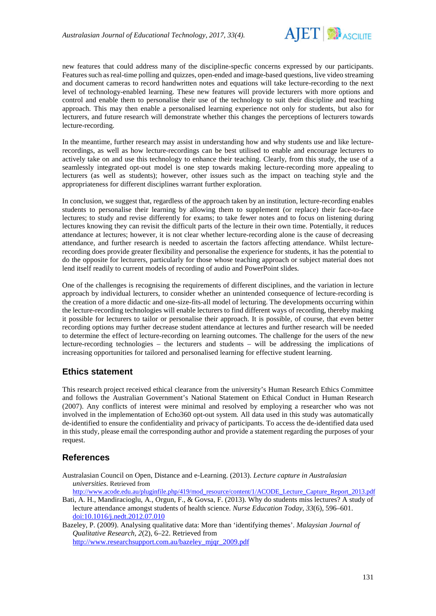

new features that could address many of the discipline-specfic concerns expressed by our participants. Features such as real-time polling and quizzes, open-ended and image-based questions, live video streaming and document cameras to record handwritten notes and equations will take lecture-recording to the next level of technology-enabled learning. These new features will provide lecturers with more options and control and enable them to personalise their use of the technology to suit their discipline and teaching approach. This may then enable a personalised learning experience not only for students, but also for lecturers, and future research will demonstrate whether this changes the perceptions of lecturers towards lecture-recording.

In the meantime, further research may assist in understanding how and why students use and like lecturerecordings, as well as how lecture-recordings can be best utilised to enable and encourage lecturers to actively take on and use this technology to enhance their teaching. Clearly, from this study, the use of a seamlessly integrated opt-out model is one step towards making lecture-recording more appealing to lecturers (as well as students); however, other issues such as the impact on teaching style and the appropriateness for different disciplines warrant further exploration.

In conclusion, we suggest that, regardless of the approach taken by an institution, lecture-recording enables students to personalise their learning by allowing them to supplement (or replace) their face-to-face lectures; to study and revise differently for exams; to take fewer notes and to focus on listening during lectures knowing they can revisit the difficult parts of the lecture in their own time. Potentially, it reduces attendance at lectures; however, it is not clear whether lecture-recording alone is the cause of decreasing attendance, and further research is needed to ascertain the factors affecting attendance. Whilst lecturerecording does provide greater flexibility and personalise the experience for students, it has the potential to do the opposite for lecturers, particularly for those whose teaching approach or subject material does not lend itself readily to current models of recording of audio and PowerPoint slides.

One of the challenges is recognising the requirements of different disciplines, and the variation in lecture approach by individual lecturers, to consider whether an unintended consequence of lecture-recording is the creation of a more didactic and one-size-fits-all model of lecturing. The developments occurring within the lecture-recording technologies will enable lecturers to find different ways of recording, thereby making it possible for lecturers to tailor or personalise their approach. It is possible, of course, that even better recording options may further decrease student attendance at lectures and further research will be needed to determine the effect of lecture-recording on learning outcomes. The challenge for the users of the new lecture-recording technologies – the lecturers and students – will be addressing the implications of increasing opportunities for tailored and personalised learning for effective student learning.

## **Ethics statement**

This research project received ethical clearance from the university's Human Research Ethics Committee and follows the Australian Government's National Statement on Ethical Conduct in Human Research (2007). Any conflicts of interest were minimal and resolved by employing a researcher who was not involved in the implementation of Echo360 opt-out system. All data used in this study was automatically de-identified to ensure the confidentiality and privacy of participants. To access the de-identified data used in this study, please email the corresponding author and provide a statement regarding the purposes of your request.

## **References**

Australasian Council on Open, Distance and e-Learning. (2013). *Lecture capture in Australasian universities*. Retrieved from

[http://www.acode.edu.au/pluginfile.php/419/mod\\_resource/content/1/ACODE\\_Lecture\\_Capture\\_Report\\_2013.pdf](http://www.acode.edu.au/pluginfile.php/419/mod_resource/content/1/ACODE_Lecture_Capture_Report_2013.pdf)

Bati, A. H., Mandiracioglu, A., Orgun, F., & Govsa, F. (2013). Why do students miss lectures? A study of lecture attendance amongst students of health science. *Nurse Education Today*, *33*(6), 596–601. [doi:10.1016/j.nedt.2012.07.010](http://dx.doi.org/10.1016/j.nedt.2012.07.010)

Bazeley, P. (2009). Analysing qualitative data: More than 'identifying themes'. *Malaysian Journal of Qualitative Research, 2*(2), 6–22. Retrieved from [http://www.researchsupport.com.au/bazeley\\_mjqr\\_2009.pdf](http://www.researchsupport.com.au/bazeley_mjqr_2009.pdf)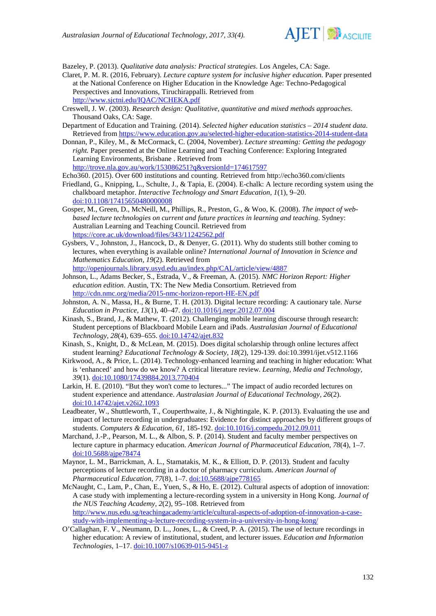

Bazeley, P. (2013). *Qualitative data analysis: Practical strategies*. Los Angeles, CA: Sage.

- Claret, P. M. R. (2016, February). *Lecture capture system for inclusive higher education.* Paper presented at the National Conference on Higher Education in the Knowledge Age: Techno-Pedagogical Perspectives and Innovations, Tiruchirappalli. Retrieved from <http://www.sjctni.edu/IQAC/NCHEKA.pdf>
- Creswell, J. W. (2003). *Research design: Qualitative, quantitative and mixed methods approaches*. Thousand Oaks, CA: Sage.
- Department of Education and Training. (2014). *Selected higher education statistics – 2014 student data*. Retrieved fro[m https://www.education.gov.au/selected-higher-education-statistics-2014-student-data](https://www.education.gov.au/selected-higher-education-statistics-2014-student-data)
- Donnan, P., Kiley, M., & McCormack, C. (2004, November). *Lecture streaming: Getting the pedagogy right.* Paper presented at the Online Learning and Teaching Conference: Exploring Integrated Learning Environments, Brisbane . Retrieved from <http://trove.nla.gov.au/work/153086251?q&versionId=174617597>

Echo360. (2015). Over 600 institutions and counting. Retrieved from http://echo360.com/clients

- Friedland, G., Knipping, L., Schulte, J., & Tapia, E. (2004). E-chalk: A lecture recording system using the chalkboard metaphor. *Interactive Technology and Smart Education, 1*(1), 9–20. [doi:10.1108/17415650480000008](http://dx.doi.org/10.1108/17415650480000008)
- Gosper, M., Green, D., McNeill, M., Phillips, R., Preston, G., & Woo, K. (2008). *The impact of webbased lecture technologies on current and future practices in learning and teaching*. Sydney: Australian Learning and Teaching Council. Retrieved from <https://core.ac.uk/download/files/343/11242562.pdf>
- Gysbers, V., Johnston, J., Hancock, D., & Denyer, G. (2011). Why do students still bother coming to lectures, when everything is available online? *International Journal of Innovation in Science and Mathematics Education, 19*(2). Retrieved from <http://openjournals.library.usyd.edu.au/index.php/CAL/article/view/4887>
- Johnson, L., Adams Becker, S., Estrada, V., & Freeman, A. (2015). *NMC Horizon Report: Higher education edition*. Austin, TX: The New Media Consortium. Retrieved from <http://cdn.nmc.org/media/2015-nmc-horizon-report-HE-EN.pdf>
- Johnston, A. N., Massa, H., & Burne, T. H. (2013). Digital lecture recording: A cautionary tale. *Nurse Education in Practice, 13*(1), 40–47[. doi:10.1016/j.nepr.2012.07.004](http://dx.doi.org/10.1016/j.nepr.2012.07.004)
- Kinash, S., Brand, J., & Mathew, T. (2012). Challenging mobile learning discourse through research: Student perceptions of Blackboard Mobile Learn and iPads. *Australasian Journal of Educational Technology, 28*(4), 639–655. [doi:10.14742/ajet.832](http://dx.doi.org/10.14742/ajet.832)
- Kinash, S., Knight, D., & McLean, M. (2015). Does digital scholarship through online lectures affect student learning? *Educational Technology & Society, 18*(2), 129-139. doi:10.3991/ijet.v512.1166
- Kirkwood, A., & Price, L. (2014). Technology-enhanced learning and teaching in higher education: What is 'enhanced' and how do we know? A critical literature review. *Learning, Media and Technology, 39*(1). [doi:10.1080/17439884.2013.770404](http://dx.doi.org/10.1080/17439884.2013.770404)
- Larkin, H. E. (2010). "But they won't come to lectures..." The impact of audio recorded lectures on student experience and attendance. *Australasian Journal of Educational Technology, 26*(2). [doi:10.14742/ajet.v26i2.1093](http://dx.doi.org/10.14742/ajet.v26i2.1093)
- Leadbeater, W., Shuttleworth, T., Couperthwaite, J., & Nightingale, K. P. (2013). Evaluating the use and impact of lecture recording in undergraduates: Evidence for distinct approaches by different groups of students. *Computers & Education, 61*, 185-192. [doi:10.1016/j.compedu.2012.09.011](http://www.sciencedirect.com/science/article/pii/S0360131512002163)
- Marchand, J.-P., Pearson, M. L., & Albon, S. P. (2014). Student and faculty member perspectives on lecture capture in pharmacy education. *American Journal of Pharmaceutical Education, 78*(4), 1–7. [doi:10.5688/ajpe78474](https://www.ncbi.nlm.nih.gov/pubmed/24850936)
- Maynor, L. M., Barrickman, A. L., Stamatakis, M. K., & Elliott, D. P. (2013). Student and faculty perceptions of lecture recording in a doctor of pharmacy curriculum. *American Journal of Pharmaceutical Education, 77*(8), 1–7. [doi:10.5688/ajpe778165](http://www.ajpe.org/doi/abs/10.5688/ajpe778165)
- McNaught, C., Lam, P., Chan, E., Yuen, S., & Ho, E. (2012). Cultural aspects of adoption of innovation: A case study with implementing a lecture-recording system in a university in Hong Kong. *Journal of the NUS Teaching Academy, 2*(2), 95–108. Retrieved from [http://www.nus.edu.sg/teachingacademy/article/cultural-aspects-of-adoption-of-innovation-a-case](http://www.nus.edu.sg/teachingacademy/article/cultural-aspects-of-adoption-of-innovation-a-case-study-with-implementing-a-lecture-recording-system-in-a-university-in-hong-kong/)[study-with-implementing-a-lecture-recording-system-in-a-university-in-hong-kong/](http://www.nus.edu.sg/teachingacademy/article/cultural-aspects-of-adoption-of-innovation-a-case-study-with-implementing-a-lecture-recording-system-in-a-university-in-hong-kong/)
- O'Callaghan, F. V., Neumann, D. L., Jones, L., & Creed, P. A. (2015). The use of lecture recordings in higher education: A review of institutional, student, and lecturer issues. *Education and Information Technologies,* 1–17. [doi:10.1007/s10639-015-9451-z](http://link.springer.com/article/10.1007/s10639-015-9451-z)